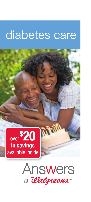# diabetes care





**Martin**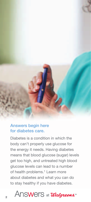

### Answers begin here for diabetes care.

Diabetes is a condition in which the body can't properly use glucose for the energy it needs. Having diabetes means that blood glucose (sugar) levels get too high, and untreated high blood glucose levels can lead to a number of health problems.<sup>1</sup> Learn more about diabetes and what you can do to stay healthy if you have diabetes.

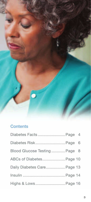

## **Contents**

| Diabetes Facts Page 4        |  |
|------------------------------|--|
| Diabetes Risk Page 6         |  |
| Blood Glucose Testing Page 8 |  |
| ABCs of Diabetes Page 10     |  |
| Daily Diabetes Care Page 13  |  |
|                              |  |
| Highs & Lows Page 16         |  |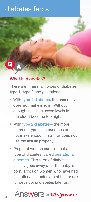# diabetes facts



### What is diabetes?

There are three main types of diabetes: type 1, type 2 and gestational.

- With type 1 diabetes, the pancreas does not make insulin. Without enough insulin, glucose levels in the blood become too high.
- With type 2 diabetes—the more common type—the pancreas does not make enough insulin or does not use the insulin properly.
- Pregnant women can also get a type of diabetes, called *gestational* diabetes. This form of diabetes usually goes away after the baby is born, although women who have had gestational diabetes are at higher risk for developing diabetes later on.2

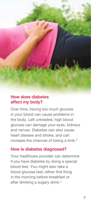### How does diabetes affect my body?

Over time, having too much glucose in your blood can cause problems in the body. Left untreated, high blood glucose can damage your eyes, kidneys and nerves. Diabetes can also cause heart disease and stroke, and can increase the chances of losing a limb.<sup>3</sup>

#### How is diabetes diagnosed?

Your healthcare provider can determine if you have diabetes by doing a special blood test. You might also take a blood glucose test, either first thing in the morning before breakfast or after drinking a sugary drink.<sup>4</sup>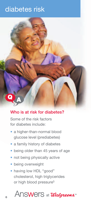# diabetes risk



### Who is at risk for diabetes?

Some of the risk factors for diabetes include:

- a higher-than-normal blood glucose level (prediabetes)
- a family history of diabetes
- being older than 45 years of age
- not being physically active
- being overweight
- having low HDL "good" cholesterol, high triglycerides or high blood pressure<sup>5</sup>

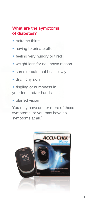### What are the symptoms of diabetes?

- extreme thirst
- having to urinate often
- feeling very hungry or tired
- weight loss for no known reason
- sores or cuts that heal slowly
- dry, itchy skin
- tingling or numbness in your feet and/or hands
- blurred vision

You may have one or more of these symptoms, or you may have no symptoms at all.<sup>6</sup>

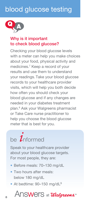# blood glucose testing



### Why is it important to check blood glucose?

Checking your blood glucose levels with a meter can help you make choices about your food, physical activity and medicines.7 Keep a record of your results and use them to understand your readings. Take your blood glucose records to your healthcare provider visits, which will help you both decide how often you should check your blood glucose and if any changes are needed in your diabetes treatment plan.8 Ask your Walgreens pharmacist or Take Care nurse practitioner to help you choose the blood glucose meter that is best for you.

# be  $\overline{\mathbf{1}}$ nformed

Speak to your healthcare provider about your blood glucose targets. For most people, they are:

- • Before meals: 70–130 mg/dL
- Two hours after meals: below 180 mg/dL
- At bedtime: 90-150 mg/dL<sup>9</sup>

# 8 ANSWOTS at *Walgreens*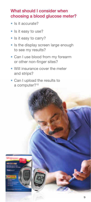### What should I consider when choosing a blood glucose meter?

- Is it accurate?
- Is it easy to use?
- Is it easy to carry?
- Is the display screen large enough to see my results?
- Can I use blood from my forearm or other non-finger sites?
- Will insurance cover the meter and strips?
- Can I upload the results to a computer?<sup>10</sup>

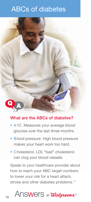# ABCs of diabetes



### What are the ABCs of diabetes?

- A1C. Measures your average blood glucose over the last three months.
- Blood pressure. High blood pressure makes your heart work too hard.
- Cholesterol. LDL "bad" cholesterol can clog your blood vessels.

Speak to your healthcare provider about how to reach your ABC target numbers to lower your risk for a heart attack, stroke and other diabetes problems.<sup>11</sup>

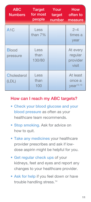| <b>ABC</b><br><b>Numbers</b> | <b>Target</b><br>for most<br>people | Your<br>target<br>number | How<br>often to<br>measure                  |
|------------------------------|-------------------------------------|--------------------------|---------------------------------------------|
| A <sub>1C</sub>              | Less<br>than 7%                     |                          | $2 - 4$<br>times a<br>year                  |
| <b>Blood</b><br>pressure     | Less<br>than<br>130/80              |                          | At every<br>regular<br>provider<br>visit    |
| Cholesterol<br>(LDL)         | Less<br>than<br>100                 |                          | At least<br>once a<br>year <sup>12,13</sup> |

### How can I reach my ABC targets?

- Check your blood glucose and your blood pressure as often as your healthcare team recommends.
- Stop smoking. Ask for advice on how to quit.
- Take any medicines your healthcare provider prescribes and ask if lowdose aspirin might be helpful for you.
- Get regular check ups of your kidneys, feet and eyes and report any changes to your healthcare provider.
- Ask for help if you feel down or have trouble handling stress.14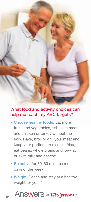

### What food and activity choices can help me reach my ABC targets?

- Choose healthy foods. Eat more fruits and vegetables, fish, lean meats and chicken or turkey without the skin. Bake, broil or grill your meat and keep your portion sizes small. Also, eat beans, whole grains and low-fat or skim milk and cheese.
- Be active for 30–60 minutes most days of the week.
- Weight. Reach and stay at a healthy weight for you.<sup>14</sup>

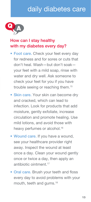# daily diabetes care



## How can I stay healthy with my diabetes every day?

- Foot care. Check your feet every day for redness and for sores or cuts that don't heal. Wash—but don't soak your feet with a mild soap, rinse with water and dry well. Ask someone to check your feet for you if you have trouble seeing or reaching them.<sup>15</sup>
- Skin care. Your skin can become dry and cracked, which can lead to infection. Look for products that add moisture, gently exfoliate, increase circulation and promote healing. Use mild lotions, and avoid those with heavy perfumes or alcohol.<sup>16</sup>
- Wound care. If you have a wound, see your healthcare provider right away. Inspect the wound at least once a day. Clean your wound gently once or twice a day, then apply an antibiotic ointment.17
- Oral care. Brush your teeth and floss every day to avoid problems with your mouth, teeth and gums.<sup>18</sup>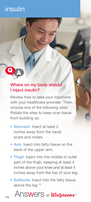# insulin



### Where on my body should I inject insulin?

Review how to take your injections with your healthcare provider. Then, choose one of the following sites. Rotate the sites to keep scar tissue from building up:

- Stomach. Inject at least 2 inches away from the navel, scars and moles.
- Arm. Inject into fatty tissue on the back of the upper arm.
- Thigh. Inject into the middle or outer part of the thigh, keeping at least 4 inches above your knee and at least 4 inches away from the top of your leg.
- Buttocks. Inject into the fatty tissue above the leg.<sup>19</sup>

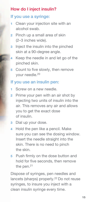### How do I inject insulin?

### If you use a syringe:

- 1 Clean your injection site with an alcohol swab.
- 2 Pinch up a small area of skin (2–3 inches wide).
- **3** Inject the insulin into the pinched skin at a 90-degree angle.
- 4 Keep the needle in and let go of the pinched skin.
- 5 Count to five slowly, then remove your needle.20

#### If you use an insulin pen:

- 1 Screw on a new needle.
- 2 Prime your pen with an air shot by injecting two units of insulin into the air. This removes any air and allows you to get the exact dose of insulin.
- 3 Dial up your dose.
- 4 Hold the pen like a pencil. Make sure you can see the dosing window. Insert the needle straight into the skin. There is no need to pinch the skin.
- 5 Push firmly on the dose button and hold for five seconds, then remove the pen.<sup>21</sup>

Dispose of syringes, pen needles and lancets (sharps) properly.<sup>22</sup> Do not reuse syringes, to insure you inject with a clean insulin syringe every time.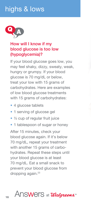# highs & lows



### How will I know if my blood glucose is too low (hypoglycemia)?

If your blood glucose goes low, you may feel shaky, dizzy, sweaty, weak, hungry or grumpy. If your blood glucose is 70 mg/dL or below, treat your low with 15 grams of carbohydrates. Here are examples of low blood glucose treatments with 15 grams of carbohydrates:

- 4 glucose tablets
- 1 serving of glucose gel
- 1/2 cup of regular fruit juice
- 1 tablespoon of sugar or honey

After 15 minutes, check your blood glucose again. If it's below 70 mg/dL, repeat your treatment with another 15 grams of carbohydrates. Repeat these steps until your blood glucose is at least 70 mg/dL. Eat a small snack to prevent your blood glucose from dropping again.<sup>23</sup>

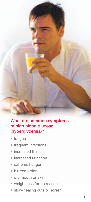### What are common symptoms of high blood glucose (hyperglycemia)?

- fatigue
- frequent infections
- increased thirst
- increased urination
- extreme hunger
- blurred vision
- dry mouth or skin
- weight loss for no reason
- $\bullet$  slow-healing cuts or sores<sup>24</sup>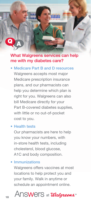### What Walgreens services can help me with my diabetes care?

• Medicare Part B and D resources Walgreens accepts most major Medicare prescription insurance plans, and our pharmacists can help you determine which plan is right for you. Walgreens can also bill Medicare directly for your Part B-covered diabetes supplies, with little or no out-of-pocket cost to you.

#### • Health tests

Our pharmacists are here to help you know your numbers, with in-store health tests, including cholesterol, blood glucose, A1C and body composition.

#### **Immunizations**

Walgreens offers vaccines at most locations to help protect you and your family. Walk in anytime or schedule an appointment online.

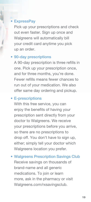#### **ExpressPay**

Pick up your prescriptions and check out even faster. Sign up once and Walgreens will automatically bill your credit card anytime you pick up an order.

#### • 90-day prescriptions

A 90-day prescription is three refills in one. Pick up your prescription once, and for three months, you're done. Fewer refills means fewer chances to run out of your medication. We also offer same day ordering and pickup.

#### • E-prescriptions

With this free service, you can enjoy the benefits of having your prescription sent directly from your doctor to Walgreens. We receive your prescriptions before you arrive, so there are no prescriptions to drop off. You don't have to sign up, either; simply tell your doctor which Walgreens location you prefer.

• Walgreens Prescription Savings Club Receive savings on thousands of brand-name and all generic medications. To join or learn more, ask in the pharmacy or visit Walgreens.com/rxsavingsclub.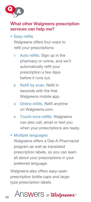

### What other Walgreens prescription services can help me?

### • Easy refills

Walgreens offers four ways to refill your prescriptions:

- 1 Auto refills. Sign up in the pharmacy or online, and we'll automatically refill your prescription a few days before it runs out.
- 2 Refill by scan. Refill in seconds with the free Walgreens mobile app.
- 3 Online refills. Refill anytime on Walgreens.com.
- 4 Touch-tone refills. Walgreens can also call, email or text you when your prescriptions are ready.

### • Multiple languages

Walgreens offers a Dial-A-Pharmacist program as well as translated prescription labels, so you can learn all about your prescriptions in your preferred language.

Walgreens also offers easy-open prescription bottle caps and largetype prescription labels.

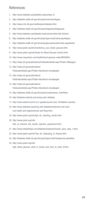#### References:

- 1. http://www.diabetes.org/diabetes-basics/type-2/.
- 2. http://diabetes.niddk.nih.gov/dm/pubs/overview/#types.
- 3. http://www.nlm.nih.gov/medlineplus/diabetes.html.
- 4. http://diabetes.niddk.nih.gov/dm/pubs/diagnosis/#diagnosis.
- 5. http://www.diabetes.org/diabetes-basics/prevention/risk-factors/.
- 6. http://diabetes.niddk.nih.gov/dm/pubs/type1and2/what.aspx#signs.
- 7. http://diabetes.niddk.nih.gov/dm/pubs/glucosemonitor/index.aspx#what.
- 8. http://www.joslin.org/info/monitoring\_your\_blood\_glucose.html.
- 9. http://www.joslin.org/info/Goals-for-Blood-Glucose-Control.html.
- 10. http://www.mayoclinic.com/health/blood-glucose-meter/MY00924.
- 11. http://ndep.nih.gov/publications/PublicationDetail.aspx?PubId=28#page3.
- 12. http://ndep.nih.gov/publications/ PublicationDetail.aspx?PubId=4&redirect=true#page4.
- 13. http://ndep.nih.gov/publications/ PublicationDetail.aspx?PubId=4&redirect=true#page6.
- 14. http://ndep.nih.gov/publications/ PublicationDetail.aspx?PubId=4&redirect=true#page5.
- 15. http://diabetes.niddk.nih.gov/dm/pubs/complications\_feet/#feet.
- 16. http://diabetes.webmd.com/caring-skin-diabetes.
- 17. http://www.webmd.com/a-to-z-guides/wound-care-10/diabetic-wounds.
- 18. http://www.diabetes.org/living-with-diabetes/treatment-and-care/ oral-health-and-hygiene/brush-and-floss.html.
- 19. http://www.joslin.org/info/tips\_for\_injecting\_insulin.html.
- 20. http://www.joslin.org/info/ how\_to\_improve\_the\_insulin\_injection\_experience.html.
- 21. http://www.isletsofhope.com/diabetes/treatment/insulin\_pens\_step\_1.html.
- 22. http://www.joslin.org/info/Tips\_for\_Disposing\_of\_Sharps.html.
- 23. http://diabetes.niddk.nih.gov/dm/pubs/type1and2/lowglucose.aspx#low.
- 24. http://www.joslin.org/info/ high\_blood\_glucose\_what\_it\_means\_and\_how\_to\_treat\_it.html.